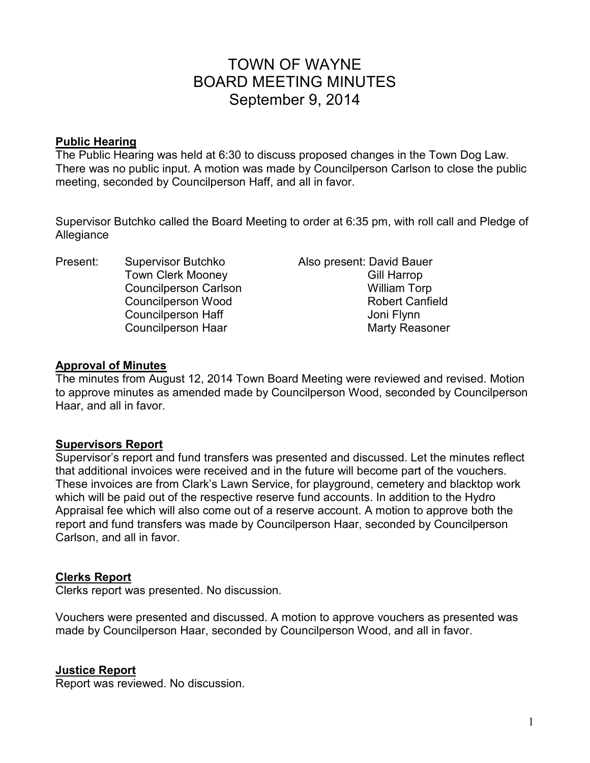# TOWN OF WAYNE BOARD MEETING MINUTES September 9, 2014

#### **Public Hearing**

The Public Hearing was held at 6:30 to discuss proposed changes in the Town Dog Law. There was no public input. A motion was made by Councilperson Carlson to close the public meeting, seconded by Councilperson Haff, and all in favor.

Supervisor Butchko called the Board Meeting to order at 6:35 pm, with roll call and Pledge of Allegiance

Present: Supervisor Butchko Also present: David Bauer Town Clerk Mooney **Gill Harrop** Councilperson Carlson **William Torp** Councilperson Haff **Council** Joni Flynn

Councilperson Wood Robert Canfield Councilperson Haar Marty Reasoner

#### **Approval of Minutes**

The minutes from August 12, 2014 Town Board Meeting were reviewed and revised. Motion to approve minutes as amended made by Councilperson Wood, seconded by Councilperson Haar, and all in favor.

## **Supervisors Report**

Supervisor's report and fund transfers was presented and discussed. Let the minutes reflect that additional invoices were received and in the future will become part of the vouchers. These invoices are from Clark's Lawn Service, for playground, cemetery and blacktop work which will be paid out of the respective reserve fund accounts. In addition to the Hydro Appraisal fee which will also come out of a reserve account. A motion to approve both the report and fund transfers was made by Councilperson Haar, seconded by Councilperson Carlson, and all in favor.

#### **Clerks Report**

Clerks report was presented. No discussion.

Vouchers were presented and discussed. A motion to approve vouchers as presented was made by Councilperson Haar, seconded by Councilperson Wood, and all in favor.

## **Justice Report**

Report was reviewed. No discussion.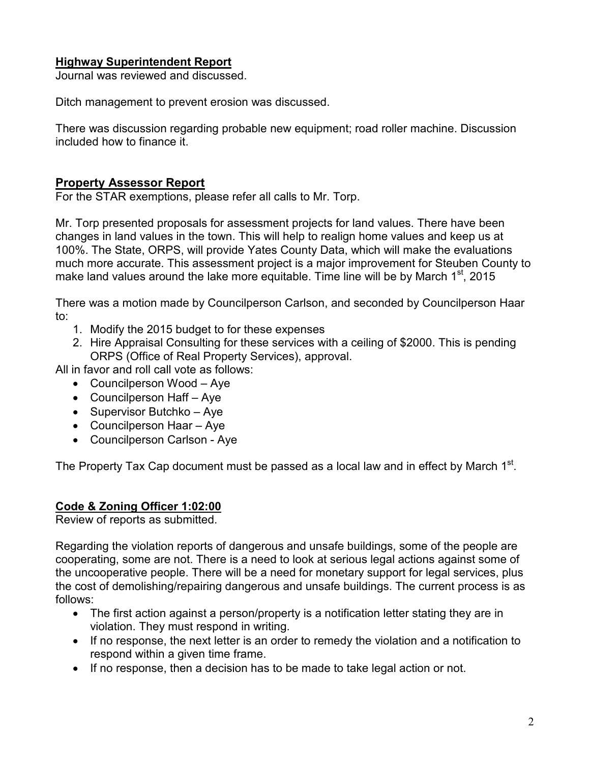## **Highway Superintendent Report**

Journal was reviewed and discussed.

Ditch management to prevent erosion was discussed.

There was discussion regarding probable new equipment; road roller machine. Discussion included how to finance it.

## **Property Assessor Report**

For the STAR exemptions, please refer all calls to Mr. Torp.

Mr. Torp presented proposals for assessment projects for land values. There have been changes in land values in the town. This will help to realign home values and keep us at 100%. The State, ORPS, will provide Yates County Data, which will make the evaluations much more accurate. This assessment project is a major improvement for Steuben County to make land values around the lake more equitable. Time line will be by March  $1<sup>st</sup>$ , 2015

There was a motion made by Councilperson Carlson, and seconded by Councilperson Haar to:

- 1. Modify the 2015 budget to for these expenses
- 2. Hire Appraisal Consulting for these services with a ceiling of \$2000. This is pending ORPS (Office of Real Property Services), approval.

All in favor and roll call vote as follows:

- Councilperson Wood Aye
- Councilperson Haff Aye
- Supervisor Butchko Aye
- Councilperson Haar Aye
- Councilperson Carlson Aye

The Property Tax Cap document must be passed as a local law and in effect by March 1<sup>st</sup>.

## **Code & Zoning Officer 1:02:00**

Review of reports as submitted.

Regarding the violation reports of dangerous and unsafe buildings, some of the people are cooperating, some are not. There is a need to look at serious legal actions against some of the uncooperative people. There will be a need for monetary support for legal services, plus the cost of demolishing/repairing dangerous and unsafe buildings. The current process is as follows:

- The first action against a person/property is a notification letter stating they are in violation. They must respond in writing.
- If no response, the next letter is an order to remedy the violation and a notification to respond within a given time frame.
- If no response, then a decision has to be made to take legal action or not.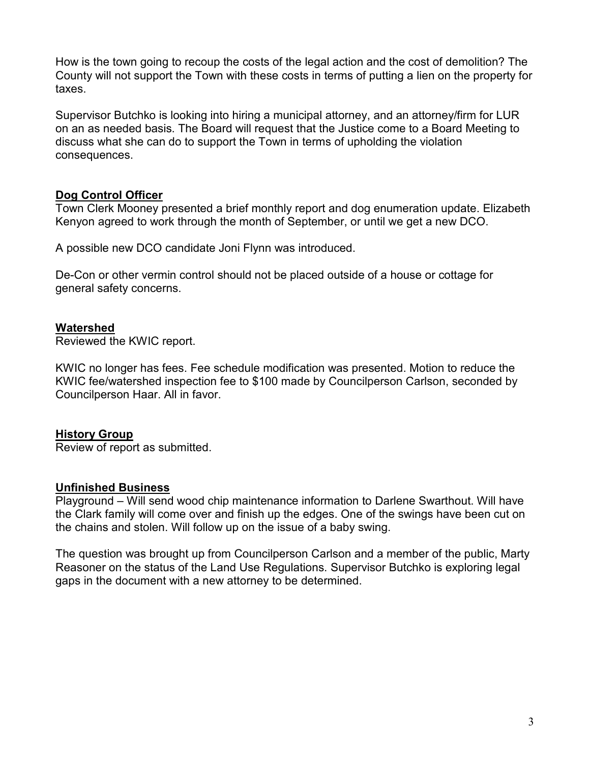How is the town going to recoup the costs of the legal action and the cost of demolition? The County will not support the Town with these costs in terms of putting a lien on the property for taxes.

Supervisor Butchko is looking into hiring a municipal attorney, and an attorney/firm for LUR on an as needed basis. The Board will request that the Justice come to a Board Meeting to discuss what she can do to support the Town in terms of upholding the violation consequences.

## **Dog Control Officer**

Town Clerk Mooney presented a brief monthly report and dog enumeration update. Elizabeth Kenyon agreed to work through the month of September, or until we get a new DCO.

A possible new DCO candidate Joni Flynn was introduced.

De-Con or other vermin control should not be placed outside of a house or cottage for general safety concerns.

#### **Watershed**

Reviewed the KWIC report.

KWIC no longer has fees. Fee schedule modification was presented. Motion to reduce the KWIC fee/watershed inspection fee to \$100 made by Councilperson Carlson, seconded by Councilperson Haar. All in favor.

#### **History Group**

Review of report as submitted.

#### **Unfinished Business**

Playground – Will send wood chip maintenance information to Darlene Swarthout. Will have the Clark family will come over and finish up the edges. One of the swings have been cut on the chains and stolen. Will follow up on the issue of a baby swing.

The question was brought up from Councilperson Carlson and a member of the public, Marty Reasoner on the status of the Land Use Regulations. Supervisor Butchko is exploring legal gaps in the document with a new attorney to be determined.